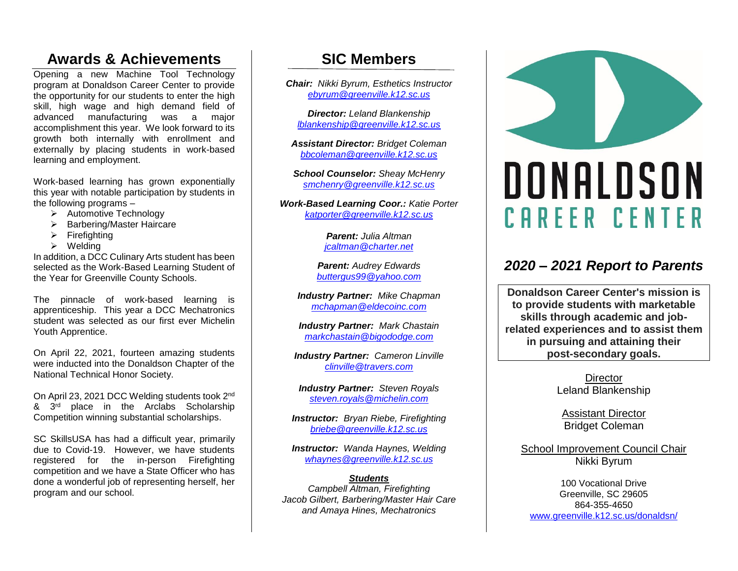### **Awards & Achievements**

Opening a new Machine Tool Technology program at Donaldson Career Center to provide the opportunity for our students to enter the high skill, high wage and high demand field of advanced manufacturing was a major accomplishment this year. We look forward to its growth both internally with enrollment and externally by placing students in work-based learning and employment.

Work-based learning has grown exponentially this year with notable participation by students in the following programs  $-$ 

- ➢ Automotive Technology
- ➢ Barbering/Master Haircare
- $\triangleright$  Firefighting
- ➢ Welding

In addition, a DCC Culinary Arts student has been selected as the Work-Based Learning Student of the Year for Greenville County Schools.

The pinnacle of work-based learning is apprenticeship. This year a DCC Mechatronics student was selected as our first ever Michelin Youth Apprentice.

On April 22, 2021, fourteen amazing students were inducted into the Donaldson Chapter of the National Technical Honor Society.

On April 23, 2021 DCC Welding students took 2nd  $8 \cdot 3^{rd}$  place in the Arclabs Scholarship Competition winning substantial scholarships.

SC SkillsUSA has had a difficult year, primarily due to Covid-19. However, we have students registered for the in-person Firefighting competition and we have a State Officer who has done a wonderful job of representing herself, her program and our school.

### **SIC Members**

*Chair: Nikki Byrum, Esthetics Instructor [ebyrum@greenville.k12.sc.us](mailto:ebyrum@greenville.k12.sc.us)*

*Director: Leland Blankenship [lblankenship@greenville.k12.sc.us](mailto:lblankenship@greenville.k12.sc.us)*

*Assistant Director: Bridget Coleman [bbcoleman@greenville.k12.sc.us](mailto:bbcoleman@greenville.k12.sc.us)*

*School Counselor: Sheay McHenry [smchenry@greenville.k12.sc.us](mailto:smchenry@greenville.k12.sc.us)*

*Work-Based Learning Coor.: Katie Porter [katporter@greenville.k12.sc.us](mailto:katporter@greenville.k12.sc.us)*

> *Parent: Julia Altman [jcaltman@charter.net](mailto:jcaltman@charter.net)*

*Parent: Audrey Edwards [buttergus99@yahoo.com](mailto:buttergus99@yahoo.com)*

*Industry Partner: Mike Chapman [mchapman@eldecoinc.com](mailto:mchapman@eldecoinc.com)*

*Industry Partner: Mark Chastain [markchastain@bigododge.com](mailto:markchastain@bigododge.com)*

*Industry Partner: Cameron Linville [clinville@travers.com](mailto:clinville@travers.com)*

*Industry Partner: Steven Royals [steven.royals@michelin.com](mailto:steven.royals@michelin.com)*

*Instructor: Bryan Riebe, Firefighting [briebe@greenville.k12.sc.us](mailto:briebe@greenville.k12.sc.us)*

*Instructor: Wanda Haynes, Welding [whaynes@greenville.k12.sc.us](mailto:whaynes@greenville.k12.sc.us)*

#### *Students*

*Campbell Altman, Firefighting Jacob Gilbert, Barbering/Master Hair Care and Amaya Hines, Mechatronics*



### *2020 – 2021 Report to Parents*

**Donaldson Career Center's mission is to provide students with marketable skills through academic and jobrelated experiences and to assist them in pursuing and attaining their post-secondary goals.**

> **Director** Leland Blankenship

Assistant Director Bridget Coleman

School Improvement Council Chair Nikki Byrum

100 Vocational Drive Greenville, SC 29605 864-355-4650 [www.greenville.k12.sc.us/donaldsn/](http://www.greenville.k12.sc.us/donaldsn/)